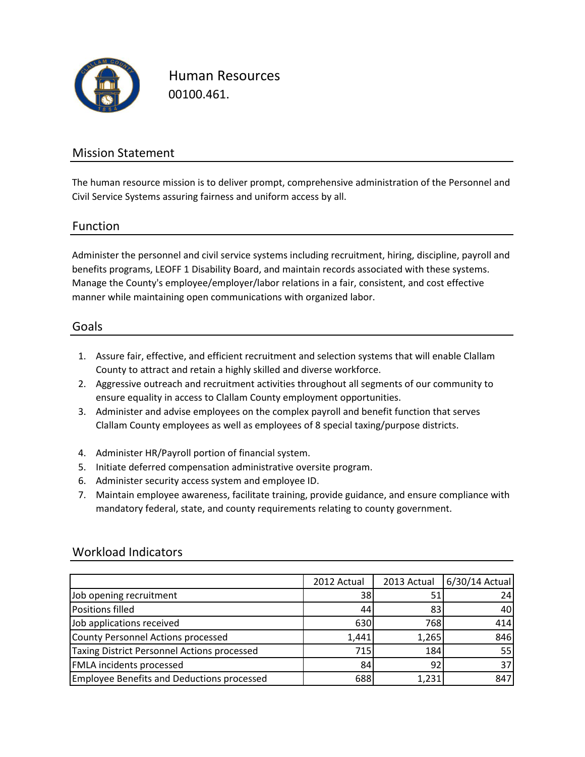

Human Resources 00100.461.

### Mission Statement

The human resource mission is to deliver prompt, comprehensive administration of the Personnel and Civil Service Systems assuring fairness and uniform access by all.

### Function

Administer the personnel and civil service systems including recruitment, hiring, discipline, payroll and benefits programs, LEOFF 1 Disability Board, and maintain records associated with these systems. Manage the County's employee/employer/labor relations in a fair, consistent, and cost effective manner while maintaining open communications with organized labor.

#### Goals

- 1. Assure fair, effective, and efficient recruitment and selection systems that will enable Clallam County to attract and retain a highly skilled and diverse workforce.
- 2. Aggressive outreach and recruitment activities throughout all segments of our community to ensure equality in access to Clallam County employment opportunities.
- 3. Administer and advise employees on the complex payroll and benefit function that serves Clallam County employees as well as employees of 8 special taxing/purpose districts.
- 4. Administer HR/Payroll portion of financial system.
- 5. Initiate deferred compensation administrative oversite program.
- 6. Administer security access system and employee ID.
- 7. Maintain employee awareness, facilitate training, provide guidance, and ensure compliance with mandatory federal, state, and county requirements relating to county government.

|                                                    | 2012 Actual | 2013 Actual | 6/30/14 Actual |
|----------------------------------------------------|-------------|-------------|----------------|
| Job opening recruitment                            | 38          | 51          | 24'            |
| <b>Positions filled</b>                            | 44          | 83          | 40             |
| Job applications received                          | 630         | 768         | 414            |
| County Personnel Actions processed                 | 1,441       | 1,265       | 846            |
| <b>Taxing District Personnel Actions processed</b> | 715         | 184         | 55             |
| <b>FMLA</b> incidents processed                    | 84          | 92          | 37             |
| <b>Employee Benefits and Deductions processed</b>  | 688         | 1,231       | 847            |

### Workload Indicators